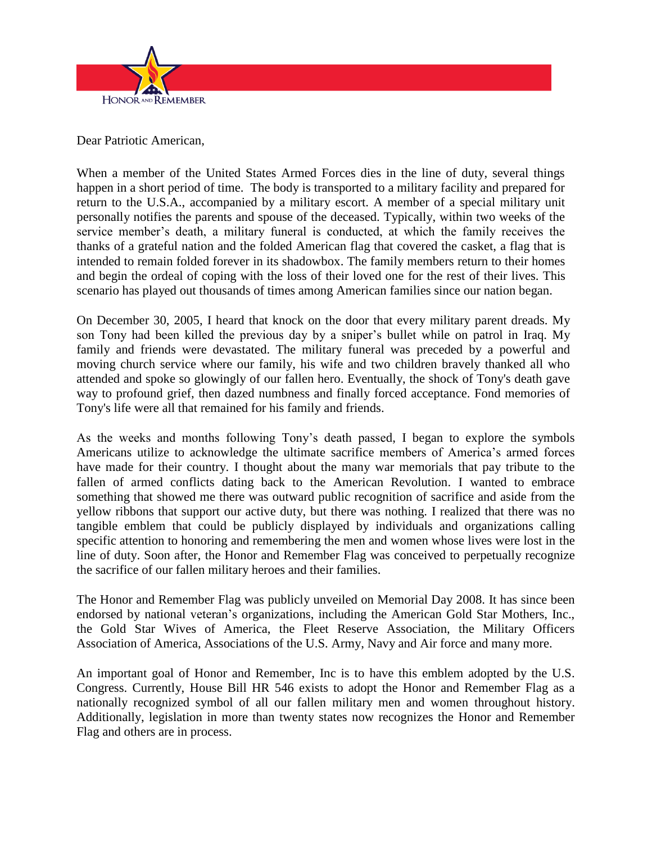

Dear Patriotic American,

When a member of the United States Armed Forces dies in the line of duty, several things happen in a short period of time. The body is transported to a military facility and prepared for return to the U.S.A., accompanied by a military escort. A member of a special military unit personally notifies the parents and spouse of the deceased. Typically, within two weeks of the service member's death, a military funeral is conducted, at which the family receives the thanks of a grateful nation and the folded American flag that covered the casket, a flag that is intended to remain folded forever in its shadowbox. The family members return to their homes and begin the ordeal of coping with the loss of their loved one for the rest of their lives. This scenario has played out thousands of times among American families since our nation began.

On December 30, 2005, I heard that knock on the door that every military parent dreads. My son Tony had been killed the previous day by a sniper's bullet while on patrol in Iraq. My family and friends were devastated. The military funeral was preceded by a powerful and moving church service where our family, his wife and two children bravely thanked all who attended and spoke so glowingly of our fallen hero. Eventually, the shock of Tony's death gave way to profound grief, then dazed numbness and finally forced acceptance. Fond memories of Tony's life were all that remained for his family and friends.

As the weeks and months following Tony's death passed, I began to explore the symbols Americans utilize to acknowledge the ultimate sacrifice members of America's armed forces have made for their country. I thought about the many war memorials that pay tribute to the fallen of armed conflicts dating back to the American Revolution. I wanted to embrace something that showed me there was outward public recognition of sacrifice and aside from the yellow ribbons that support our active duty, but there was nothing. I realized that there was no tangible emblem that could be publicly displayed by individuals and organizations calling specific attention to honoring and remembering the men and women whose lives were lost in the line of duty. Soon after, the Honor and Remember Flag was conceived to perpetually recognize the sacrifice of our fallen military heroes and their families.

The Honor and Remember Flag was publicly unveiled on Memorial Day 2008. It has since been endorsed by national veteran's organizations, including the American Gold Star Mothers, Inc., the Gold Star Wives of America, the Fleet Reserve Association, the Military Officers Association of America, Associations of the U.S. Army, Navy and Air force and many more.

An important goal of Honor and Remember, Inc is to have this emblem adopted by the U.S. Congress. Currently, House Bill HR 546 exists to adopt the Honor and Remember Flag as a nationally recognized symbol of all our fallen military men and women throughout history. Additionally, legislation in more than twenty states now recognizes the Honor and Remember Flag and others are in process.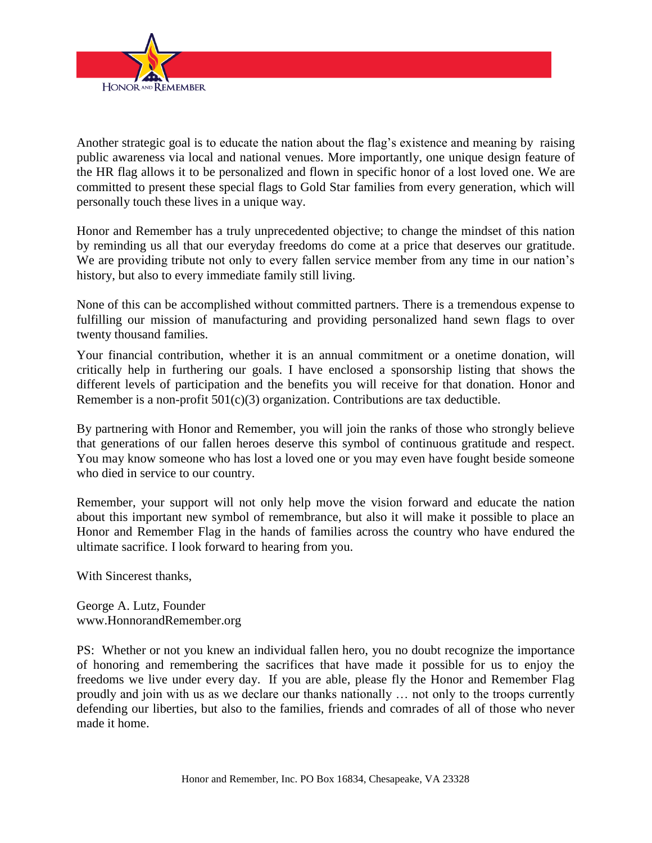

Another strategic goal is to educate the nation about the flag's existence and meaning by raising public awareness via local and national venues. More importantly, one unique design feature of the HR flag allows it to be personalized and flown in specific honor of a lost loved one. We are committed to present these special flags to Gold Star families from every generation, which will personally touch these lives in a unique way.

Honor and Remember has a truly unprecedented objective; to change the mindset of this nation by reminding us all that our everyday freedoms do come at a price that deserves our gratitude. We are providing tribute not only to every fallen service member from any time in our nation's history, but also to every immediate family still living.

None of this can be accomplished without committed partners. There is a tremendous expense to fulfilling our mission of manufacturing and providing personalized hand sewn flags to over twenty thousand families.

Your financial contribution, whether it is an annual commitment or a onetime donation, will critically help in furthering our goals. I have enclosed a sponsorship listing that shows the different levels of participation and the benefits you will receive for that donation. Honor and Remember is a non-profit 501(c)(3) organization. Contributions are tax deductible.

By partnering with Honor and Remember, you will join the ranks of those who strongly believe that generations of our fallen heroes deserve this symbol of continuous gratitude and respect. You may know someone who has lost a loved one or you may even have fought beside someone who died in service to our country.

Remember, your support will not only help move the vision forward and educate the nation about this important new symbol of remembrance, but also it will make it possible to place an Honor and Remember Flag in the hands of families across the country who have endured the ultimate sacrifice. I look forward to hearing from you.

With Sincerest thanks,

George A. Lutz, Founder www.HonnorandRemember.org

PS: Whether or not you knew an individual fallen hero, you no doubt recognize the importance of honoring and remembering the sacrifices that have made it possible for us to enjoy the freedoms we live under every day. If you are able, please fly the Honor and Remember Flag proudly and join with us as we declare our thanks nationally … not only to the troops currently defending our liberties, but also to the families, friends and comrades of all of those who never made it home.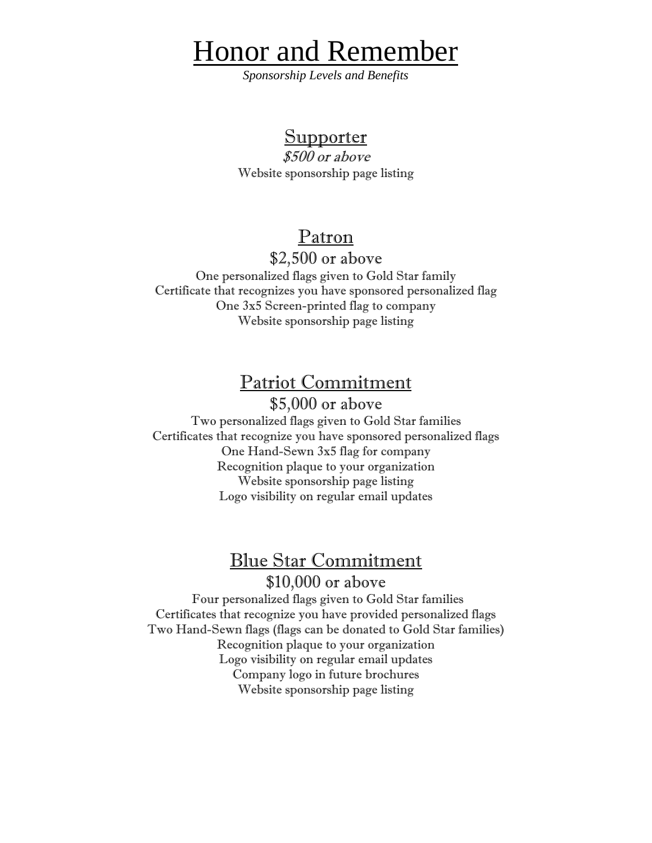# Honor and Remember

*Sponsorship Levels and Benefits*

### **Supporter**

\$500 or above Website sponsorship page listing

### Patron

\$2,500 or above

One personalized flags given to Gold Star family Certificate that recognizes you have sponsored personalized flag One 3x5 Screen-printed flag to company Website sponsorship page listing

### Patriot Commitment

\$5,000 or above Two personalized flags given to Gold Star families Certificates that recognize you have sponsored personalized flags One Hand-Sewn 3x5 flag for company Recognition plaque to your organization Website sponsorship page listing Logo visibility on regular email updates

## Blue Star Commitment

\$10,000 or above

 Four personalized flags given to Gold Star families Certificates that recognize you have provided personalized flags Two Hand-Sewn flags (flags can be donated to Gold Star families) Recognition plaque to your organization Logo visibility on regular email updates Company logo in future brochures Website sponsorship page listing